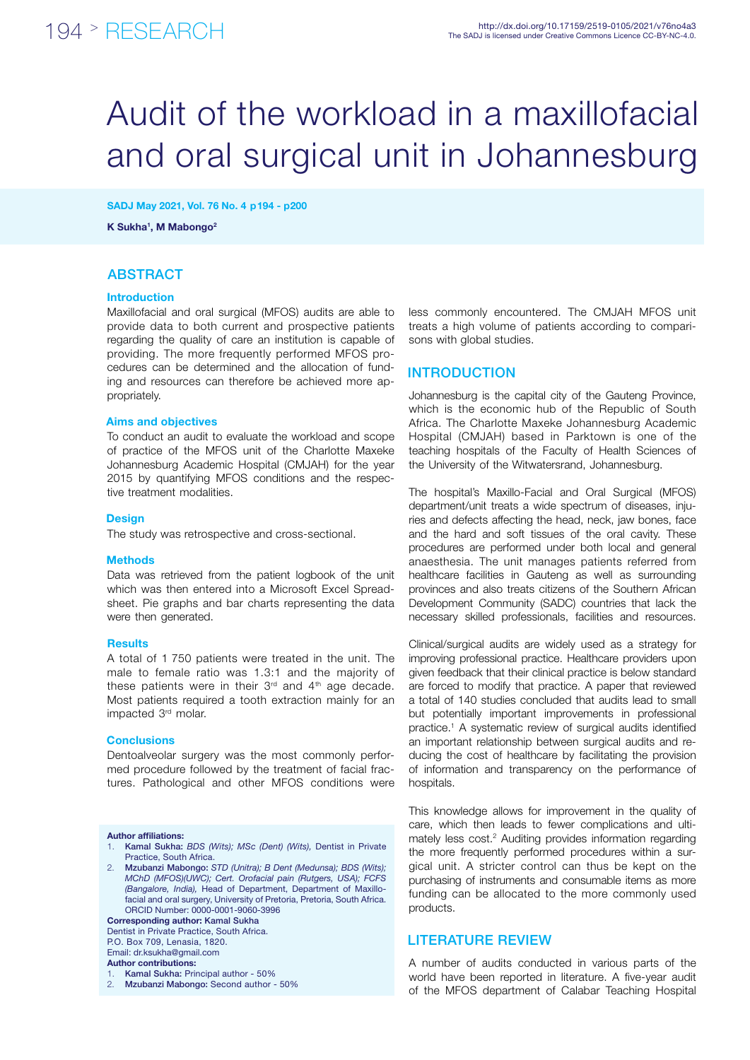# Audit of the workload in a maxillofacial and oral surgical unit in Johannesburg

SADJ May 2021, Vol. 76 No. 4 p194 - p200

K Sukha<sup>1</sup>, M Mabongo<sup>2</sup>

### **ABSTRACT**

#### Introduction

Maxillofacial and oral surgical (MFOS) audits are able to provide data to both current and prospective patients regarding the quality of care an institution is capable of providing. The more frequently performed MFOS procedures can be determined and the allocation of funding and resources can therefore be achieved more appropriately.

#### Aims and objectives

To conduct an audit to evaluate the workload and scope of practice of the MFOS unit of the Charlotte Maxeke Johannesburg Academic Hospital (CMJAH) for the year 2015 by quantifying MFOS conditions and the respective treatment modalities.

#### **Design**

The study was retrospective and cross-sectional.

#### **Methods**

Data was retrieved from the patient logbook of the unit which was then entered into a Microsoft Excel Spreadsheet. Pie graphs and bar charts representing the data were then generated.

#### **Results**

A total of 1 750 patients were treated in the unit. The male to female ratio was 1.3:1 and the majority of these patients were in their  $3<sup>rd</sup>$  and  $4<sup>th</sup>$  age decade. Most patients required a tooth extraction mainly for an impacted 3rd molar.

#### **Conclusions**

Dentoalveolar surgery was the most commonly performed procedure followed by the treatment of facial fractures. Pathological and other MFOS conditions were

#### Author affiliations:

- 1. Kamal Sukha: *BDS (Wits); MSc (Dent) (Wits),* Dentist in Private Practice, South Africa.
- 2. Mzubanzi Mabongo: *STD (Unitra); B Dent (Medunsa); BDS (Wits); MChD (MFOS)(UWC); Cert. Orofacial pain (Rutgers, USA); FCFS (Bangalore, India),* Head of Department, Department of Maxillofacial and oral surgery, University of Pretoria, Pretoria, South Africa. ORCID Number: 0000-0001-9060-3996

Corresponding author: Kamal Sukha

Dentist in Private Practice, South Africa. P.O. Box 709, Lenasia, 1820.

Email: dr.ksukha@gmail.com

Author contributions:

Kamal Sukha: Principal author - 50%

less commonly encountered. The CMJAH MFOS unit treats a high volume of patients according to comparisons with global studies.

#### **INTRODUCTION**

Johannesburg is the capital city of the Gauteng Province, which is the economic hub of the Republic of South Africa. The Charlotte Maxeke Johannesburg Academic Hospital (CMJAH) based in Parktown is one of the teaching hospitals of the Faculty of Health Sciences of the University of the Witwatersrand, Johannesburg.

The hospital's Maxillo-Facial and Oral Surgical (MFOS) department/unit treats a wide spectrum of diseases, injuries and defects affecting the head, neck, jaw bones, face and the hard and soft tissues of the oral cavity. These procedures are performed under both local and general anaesthesia. The unit manages patients referred from healthcare facilities in Gauteng as well as surrounding provinces and also treats citizens of the Southern African Development Community (SADC) countries that lack the necessary skilled professionals, facilities and resources.

Clinical/surgical audits are widely used as a strategy for improving professional practice. Healthcare providers upon given feedback that their clinical practice is below standard are forced to modify that practice. A paper that reviewed a total of 140 studies concluded that audits lead to small but potentially important improvements in professional practice.1 A systematic review of surgical audits identified an important relationship between surgical audits and reducing the cost of healthcare by facilitating the provision of information and transparency on the performance of hospitals.

This knowledge allows for improvement in the quality of care, which then leads to fewer complications and ultimately less cost.<sup>2</sup> Auditing provides information regarding the more frequently performed procedures within a surgical unit. A stricter control can thus be kept on the purchasing of instruments and consumable items as more funding can be allocated to the more commonly used products.

#### LITERATURE REVIEW

A number of audits conducted in various parts of the world have been reported in literature. A five-year audit of the MFOS department of Calabar Teaching Hospital

<sup>2.</sup> Mzubanzi Mabongo: Second author - 50%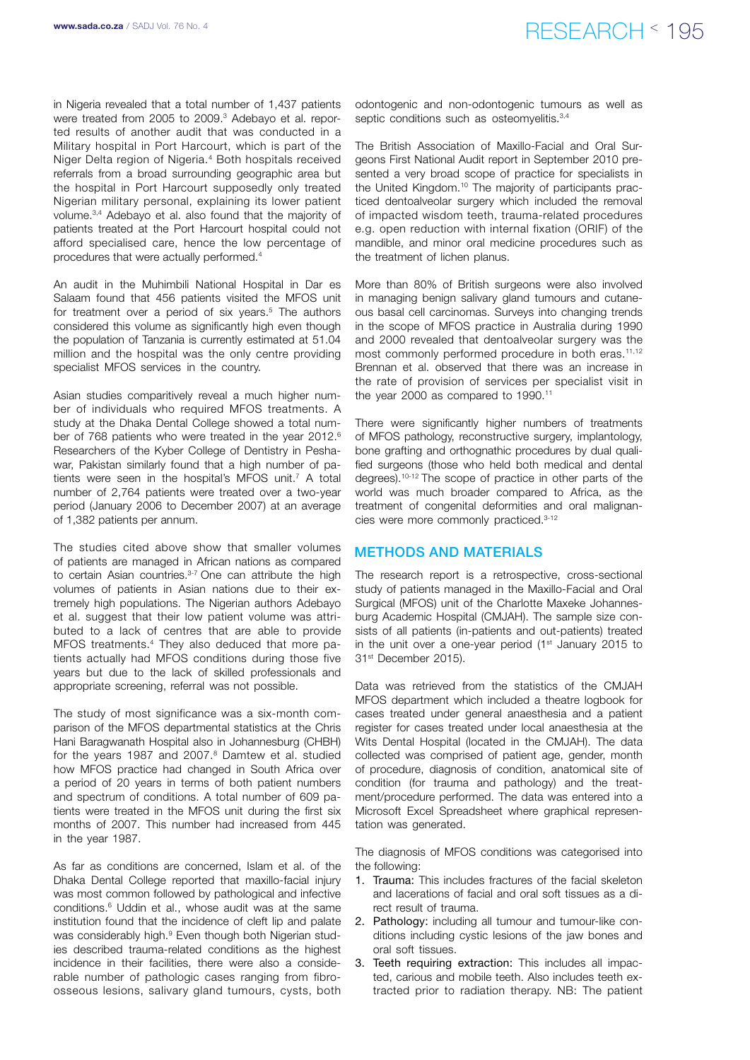in Nigeria revealed that a total number of 1,437 patients were treated from 2005 to 2009.<sup>3</sup> Adebayo et al. reported results of another audit that was conducted in a Military hospital in Port Harcourt, which is part of the Niger Delta region of Nigeria.4 Both hospitals received referrals from a broad surrounding geographic area but the hospital in Port Harcourt supposedly only treated Nigerian military personal, explaining its lower patient volume.3,4 Adebayo et al. also found that the majority of patients treated at the Port Harcourt hospital could not afford specialised care, hence the low percentage of procedures that were actually performed.4

An audit in the Muhimbili National Hospital in Dar es Salaam found that 456 patients visited the MFOS unit for treatment over a period of six years.<sup>5</sup> The authors considered this volume as significantly high even though the population of Tanzania is currently estimated at 51.04 million and the hospital was the only centre providing specialist MFOS services in the country.

Asian studies comparitively reveal a much higher number of individuals who required MFOS treatments. A study at the Dhaka Dental College showed a total number of 768 patients who were treated in the year 2012.<sup>6</sup> Researchers of the Kyber College of Dentistry in Peshawar. Pakistan similarly found that a high number of patients were seen in the hospital's MFOS unit.<sup>7</sup> A total number of 2,764 patients were treated over a two-year period (January 2006 to December 2007) at an average of 1,382 patients per annum.

The studies cited above show that smaller volumes of patients are managed in African nations as compared to certain Asian countries.<sup>3-7</sup> One can attribute the high volumes of patients in Asian nations due to their extremely high populations. The Nigerian authors Adebayo et al. suggest that their low patient volume was attributed to a lack of centres that are able to provide MFOS treatments.4 They also deduced that more patients actually had MFOS conditions during those five years but due to the lack of skilled professionals and appropriate screening, referral was not possible.

The study of most significance was a six-month comparison of the MFOS departmental statistics at the Chris Hani Baragwanath Hospital also in Johannesburg (CHBH) for the years 1987 and 2007.<sup>8</sup> Damtew et al. studied how MFOS practice had changed in South Africa over a period of 20 years in terms of both patient numbers and spectrum of conditions. A total number of 609 patients were treated in the MFOS unit during the first six months of 2007. This number had increased from 445 in the year 1987.

As far as conditions are concerned, Islam et al. of the Dhaka Dental College reported that maxillo-facial injury was most common followed by pathological and infective conditions.6 Uddin et al., whose audit was at the same institution found that the incidence of cleft lip and palate was considerably high.<sup>9</sup> Even though both Nigerian studies described trauma-related conditions as the highest incidence in their facilities, there were also a considerable number of pathologic cases ranging from fibroosseous lesions, salivary gland tumours, cysts, both

odontogenic and non-odontogenic tumours as well as septic conditions such as osteomyelitis.<sup>3,4</sup>

The British Association of Maxillo-Facial and Oral Surgeons First National Audit report in September 2010 presented a very broad scope of practice for specialists in the United Kingdom.<sup>10</sup> The majority of participants practiced dentoalveolar surgery which included the removal of impacted wisdom teeth, trauma-related procedures e.g. open reduction with internal fixation (ORIF) of the mandible, and minor oral medicine procedures such as the treatment of lichen planus.

More than 80% of British surgeons were also involved in managing benign salivary gland tumours and cutaneous basal cell carcinomas. Surveys into changing trends in the scope of MFOS practice in Australia during 1990 and 2000 revealed that dentoalveolar surgery was the most commonly performed procedure in both eras.<sup>11,12</sup> Brennan et al. observed that there was an increase in the rate of provision of services per specialist visit in the year 2000 as compared to 1990.<sup>11</sup>

There were significantly higher numbers of treatments of MFOS pathology, reconstructive surgery, implantology, bone grafting and orthognathic procedures by dual qualified surgeons (those who held both medical and dental degrees).10-12 The scope of practice in other parts of the world was much broader compared to Africa, as the treatment of congenital deformities and oral malignancies were more commonly practiced.3-12

#### METHODS AND MATERIALS

The research report is a retrospective, cross-sectional study of patients managed in the Maxillo-Facial and Oral Surgical (MFOS) unit of the Charlotte Maxeke Johannesburg Academic Hospital (CMJAH). The sample size consists of all patients (in-patients and out-patients) treated in the unit over a one-year period  $(1<sup>st</sup>$  January 2015 to 31st December 2015).

Data was retrieved from the statistics of the CMJAH MFOS department which included a theatre logbook for cases treated under general anaesthesia and a patient register for cases treated under local anaesthesia at the Wits Dental Hospital (located in the CMJAH). The data collected was comprised of patient age, gender, month of procedure, diagnosis of condition, anatomical site of condition (for trauma and pathology) and the treatment/procedure performed. The data was entered into a Microsoft Excel Spreadsheet where graphical representation was generated.

The diagnosis of MFOS conditions was categorised into the following:

- 1. Trauma: This includes fractures of the facial skeleton and lacerations of facial and oral soft tissues as a direct result of trauma.
- 2. Pathology: including all tumour and tumour-like conditions including cystic lesions of the jaw bones and oral soft tissues.
- 3. Teeth requiring extraction: This includes all impacted, carious and mobile teeth. Also includes teeth extracted prior to radiation therapy. NB: The patient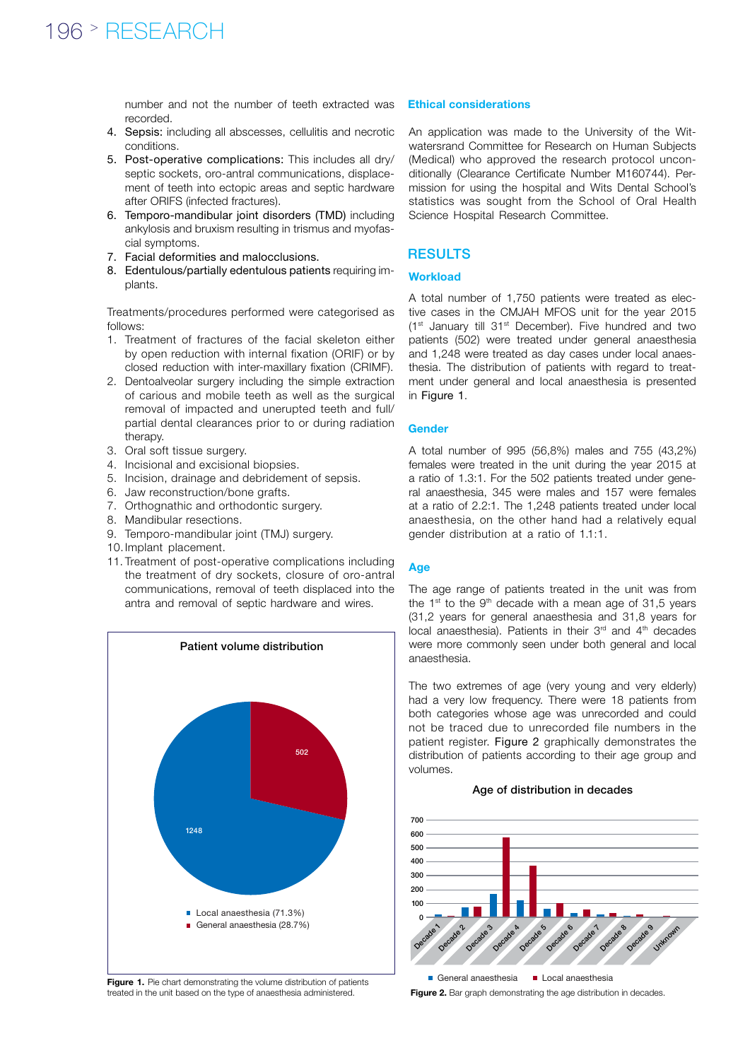number and not the number of teeth extracted was **Ethical considerations** recorded.

- 4. Sepsis: including all abscesses, cellulitis and necrotic conditions.
- 5. Post-operative complications: This includes all dry/ septic sockets, oro-antral communications, displacement of teeth into ectopic areas and septic hardware after ORIFS (infected fractures).
- 6. Temporo-mandibular joint disorders (TMD) including ankylosis and bruxism resulting in trismus and myofascial symptoms.
- 7. Facial deformities and malocclusions.
- 8. Edentulous/partially edentulous patients requiring implants.

Treatments/procedures performed were categorised as follows:

- 1. Treatment of fractures of the facial skeleton either by open reduction with internal fixation (ORIF) or by closed reduction with inter-maxillary fixation (CRIMF).
- 2. Dentoalveolar surgery including the simple extraction of carious and mobile teeth as well as the surgical removal of impacted and unerupted teeth and full/ partial dental clearances prior to or during radiation therapy.
- 3. Oral soft tissue surgery.
- 4. Incisional and excisional biopsies.
- 5. Incision, drainage and debridement of sepsis.
- 6. Jaw reconstruction/bone grafts.
- 7. Orthognathic and orthodontic surgery.
- 8. Mandibular resections.
- 9. Temporo-mandibular joint (TMJ) surgery.
- 10.Implant placement.
- 11. Treatment of post-operative complications including the treatment of dry sockets, closure of oro-antral communications, removal of teeth displaced into the antra and removal of septic hardware and wires.



Figure 1. Pie chart demonstrating the volume distribution of patients treated in the unit based on the type of anaesthesia administered.

An application was made to the University of the Witwatersrand Committee for Research on Human Subjects (Medical) who approved the research protocol unconditionally (Clearance Certificate Number M160744). Permission for using the hospital and Wits Dental School's statistics was sought from the School of Oral Health Science Hospital Research Committee.

#### RESULTS

#### **Workload**

A total number of 1,750 patients were treated as elective cases in the CMJAH MFOS unit for the year 2015 (1st January till 31st December). Five hundred and two patients (502) were treated under general anaesthesia and 1,248 were treated as day cases under local anaesthesia. The distribution of patients with regard to treatment under general and local anaesthesia is presented in Figure 1.

#### Gender

A total number of 995 (56,8%) males and 755 (43,2%) females were treated in the unit during the year 2015 at a ratio of 1.3:1. For the 502 patients treated under general anaesthesia, 345 were males and 157 were females at a ratio of 2.2:1. The 1,248 patients treated under local anaesthesia, on the other hand had a relatively equal gender distribution at a ratio of 1.1:1.

#### Age

The age range of patients treated in the unit was from the  $1<sup>st</sup>$  to the  $9<sup>th</sup>$  decade with a mean age of 31,5 years (31,2 years for general anaesthesia and 31,8 years for local anaesthesia). Patients in their 3<sup>rd</sup> and 4<sup>th</sup> decades were more commonly seen under both general and local anaesthesia.

The two extremes of age (very young and very elderly) had a very low frequency. There were 18 patients from both categories whose age was unrecorded and could not be traced due to unrecorded file numbers in the patient register. Figure 2 graphically demonstrates the distribution of patients according to their age group and volumes.

#### Age of distribution in decades



Figure 2. Bar graph demonstrating the age distribution in decades.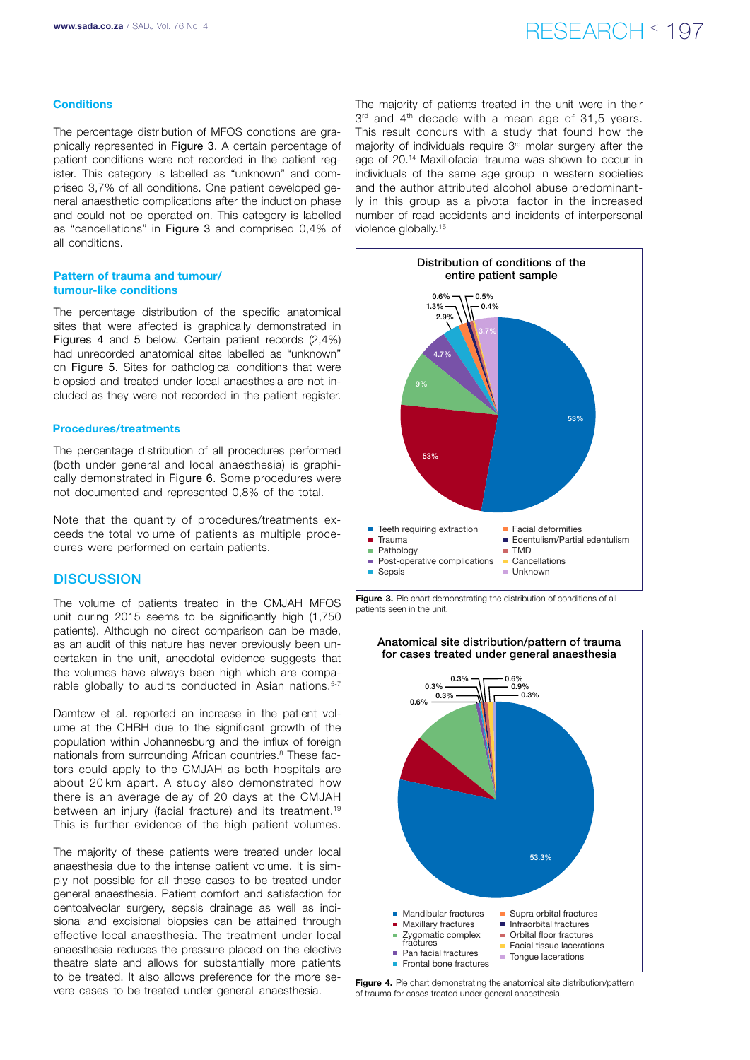### www.sada.co.za / SADJ Vol. 76 No. 4  $RFSFARTH \leq 197$

#### **Conditions**

The percentage distribution of MFOS condtions are graphically represented in Figure 3. A certain percentage of patient conditions were not recorded in the patient register. This category is labelled as "unknown" and comprised 3,7% of all conditions. One patient developed general anaesthetic complications after the induction phase and could not be operated on. This category is labelled as "cancellations" in Figure 3 and comprised 0,4% of all conditions.

#### Pattern of trauma and tumour/ tumour-like conditions

The percentage distribution of the specific anatomical sites that were affected is graphically demonstrated in Figures 4 and 5 below. Certain patient records (2,4%) had unrecorded anatomical sites labelled as "unknown" on Figure 5. Sites for pathological conditions that were biopsied and treated under local anaesthesia are not included as they were not recorded in the patient register.

#### Procedures/treatments

The percentage distribution of all procedures performed (both under general and local anaesthesia) is graphically demonstrated in Figure 6. Some procedures were not documented and represented 0,8% of the total.

Note that the quantity of procedures/treatments exceeds the total volume of patients as multiple procedures were performed on certain patients.

#### **DISCUSSION**

The volume of patients treated in the CMJAH MFOS unit during 2015 seems to be significantly high (1,750 patients). Although no direct comparison can be made, as an audit of this nature has never previously been undertaken in the unit, anecdotal evidence suggests that the volumes have always been high which are comparable globally to audits conducted in Asian nations.<sup>5-7</sup>

Damtew et al. reported an increase in the patient volume at the CHBH due to the significant growth of the population within Johannesburg and the influx of foreign nationals from surrounding African countries.<sup>8</sup> These factors could apply to the CMJAH as both hospitals are about 20 km apart. A study also demonstrated how there is an average delay of 20 days at the CMJAH between an injury (facial fracture) and its treatment.<sup>19</sup> This is further evidence of the high patient volumes.

The majority of these patients were treated under local anaesthesia due to the intense patient volume. It is simply not possible for all these cases to be treated under general anaesthesia. Patient comfort and satisfaction for dentoalveolar surgery, sepsis drainage as well as incisional and excisional biopsies can be attained through effective local anaesthesia. The treatment under local anaesthesia reduces the pressure placed on the elective theatre slate and allows for substantially more patients to be treated. It also allows preference for the more severe cases to be treated under general anaesthesia.

The majority of patients treated in the unit were in their  $3<sup>rd</sup>$  and  $4<sup>th</sup>$  decade with a mean age of 31,5 years. This result concurs with a study that found how the majority of individuals require 3rd molar surgery after the age of 20.14 Maxillofacial trauma was shown to occur in individuals of the same age group in western societies and the author attributed alcohol abuse predominantly in this group as a pivotal factor in the increased number of road accidents and incidents of interpersonal violence globally.15



Figure 3. Pie chart demonstrating the distribution of conditions of all patients seen in the unit.



Figure 4. Pie chart demonstrating the anatomical site distribution/pattern of trauma for cases treated under general anaesthesia.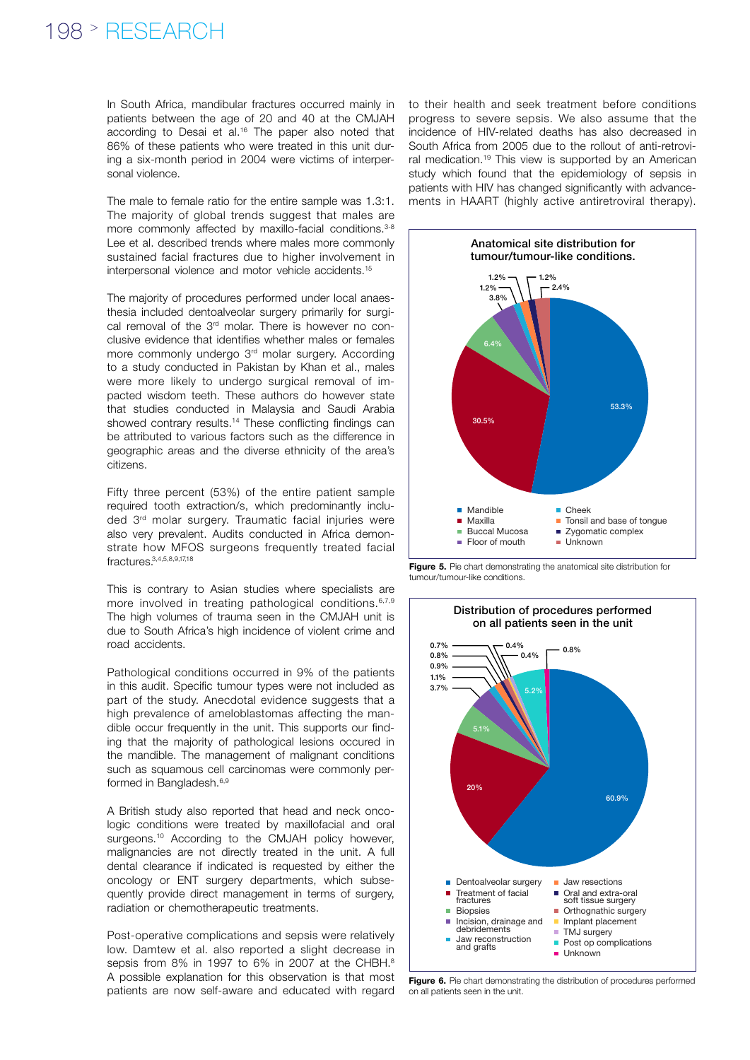### 198 > RESEARCH

In South Africa, mandibular fractures occurred mainly in patients between the age of 20 and 40 at the CMJAH according to Desai et al.16 The paper also noted that 86% of these patients who were treated in this unit during a six-month period in 2004 were victims of interpersonal violence.

The male to female ratio for the entire sample was 1.3:1. The majority of global trends suggest that males are more commonly affected by maxillo-facial conditions.<sup>3-8</sup> Lee et al. described trends where males more commonly sustained facial fractures due to higher involvement in interpersonal violence and motor vehicle accidents.15

The majority of procedures performed under local anaesthesia included dentoalveolar surgery primarily for surgical removal of the 3rd molar. There is however no conclusive evidence that identifies whether males or females more commonly undergo 3rd molar surgery. According to a study conducted in Pakistan by Khan et al., males were more likely to undergo surgical removal of impacted wisdom teeth. These authors do however state that studies conducted in Malaysia and Saudi Arabia showed contrary results.<sup>14</sup> These conflicting findings can be attributed to various factors such as the difference in geographic areas and the diverse ethnicity of the area's citizens.

Fifty three percent (53%) of the entire patient sample required tooth extraction/s, which predominantly included 3rd molar surgery. Traumatic facial injuries were also very prevalent. Audits conducted in Africa demonstrate how MFOS surgeons frequently treated facial fractures.3,4,5,8,9,17,18

This is contrary to Asian studies where specialists are more involved in treating pathological conditions.<sup>6,7,9</sup> The high volumes of trauma seen in the CMJAH unit is due to South Africa's high incidence of violent crime and road accidents.

Pathological conditions occurred in 9% of the patients in this audit. Specific tumour types were not included as part of the study. Anecdotal evidence suggests that a high prevalence of ameloblastomas affecting the mandible occur frequently in the unit. This supports our finding that the majority of pathological lesions occured in the mandible. The management of malignant conditions such as squamous cell carcinomas were commonly performed in Bangladesh.<sup>6,9</sup>

A British study also reported that head and neck oncologic conditions were treated by maxillofacial and oral surgeons.<sup>10</sup> According to the CMJAH policy however, malignancies are not directly treated in the unit. A full dental clearance if indicated is requested by either the oncology or ENT surgery departments, which subsequently provide direct management in terms of surgery, radiation or chemotherapeutic treatments.

Post-operative complications and sepsis were relatively low. Damtew et al. also reported a slight decrease in sepsis from 8% in 1997 to 6% in 2007 at the CHBH.<sup>8</sup> A possible explanation for this observation is that most patients are now self-aware and educated with regard

to their health and seek treatment before conditions progress to severe sepsis. We also assume that the incidence of HIV-related deaths has also decreased in South Africa from 2005 due to the rollout of anti-retroviral medication.19 This view is supported by an American study which found that the epidemiology of sepsis in patients with HIV has changed significantly with advancements in HAART (highly active antiretroviral therapy).



Figure 5. Pie chart demonstrating the anatomical site distribution for tumour/tumour-like conditions.



Figure 6. Pie chart demonstrating the distribution of procedures performed on all patients seen in the unit.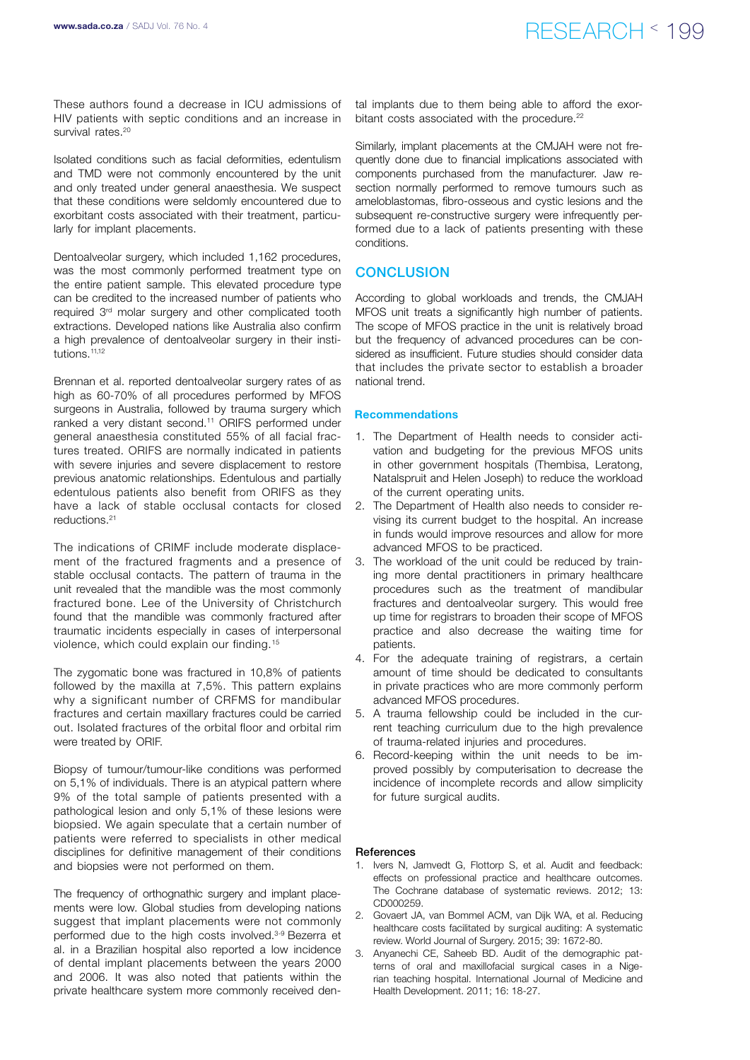These authors found a decrease in ICU admissions of HIV patients with septic conditions and an increase in survival rates.<sup>20</sup>

Isolated conditions such as facial deformities, edentulism and TMD were not commonly encountered by the unit and only treated under general anaesthesia. We suspect that these conditions were seldomly encountered due to exorbitant costs associated with their treatment, particularly for implant placements.

Dentoalveolar surgery, which included 1,162 procedures, was the most commonly performed treatment type on the entire patient sample. This elevated procedure type can be credited to the increased number of patients who required 3rd molar surgery and other complicated tooth extractions. Developed nations like Australia also confirm a high prevalence of dentoalveolar surgery in their institutions.11,12

Brennan et al. reported dentoalveolar surgery rates of as high as 60-70% of all procedures performed by MFOS surgeons in Australia, followed by trauma surgery which ranked a very distant second.11 ORIFS performed under general anaesthesia constituted 55% of all facial fractures treated. ORIFS are normally indicated in patients with severe injuries and severe displacement to restore previous anatomic relationships. Edentulous and partially edentulous patients also benefit from ORIFS as they have a lack of stable occlusal contacts for closed reductions.21

The indications of CRIMF include moderate displacement of the fractured fragments and a presence of stable occlusal contacts. The pattern of trauma in the unit revealed that the mandible was the most commonly fractured bone. Lee of the University of Christchurch found that the mandible was commonly fractured after traumatic incidents especially in cases of interpersonal violence, which could explain our finding.15

The zygomatic bone was fractured in 10,8% of patients followed by the maxilla at 7,5%. This pattern explains why a significant number of CRFMS for mandibular fractures and certain maxillary fractures could be carried out. Isolated fractures of the orbital floor and orbital rim were treated by ORIF.

Biopsy of tumour/tumour-like conditions was performed on 5,1% of individuals. There is an atypical pattern where 9% of the total sample of patients presented with a pathological lesion and only 5,1% of these lesions were biopsied. We again speculate that a certain number of patients were referred to specialists in other medical disciplines for definitive management of their conditions and biopsies were not performed on them.

The frequency of orthognathic surgery and implant placements were low. Global studies from developing nations suggest that implant placements were not commonly performed due to the high costs involved.<sup>3-9</sup> Bezerra et al. in a Brazilian hospital also reported a low incidence of dental implant placements between the years 2000 and 2006. It was also noted that patients within the private healthcare system more commonly received den-

tal implants due to them being able to afford the exorbitant costs associated with the procedure.<sup>22</sup>

Similarly, implant placements at the CMJAH were not frequently done due to financial implications associated with components purchased from the manufacturer. Jaw resection normally performed to remove tumours such as ameloblastomas, fibro-osseous and cystic lesions and the subsequent re-constructive surgery were infrequently performed due to a lack of patients presenting with these conditions.

#### **CONCLUSION**

According to global workloads and trends, the CMJAH MFOS unit treats a significantly high number of patients. The scope of MFOS practice in the unit is relatively broad but the frequency of advanced procedures can be considered as insufficient. Future studies should consider data that includes the private sector to establish a broader national trend.

#### Recommendations

- 1. The Department of Health needs to consider activation and budgeting for the previous MFOS units in other government hospitals (Thembisa, Leratong, Natalspruit and Helen Joseph) to reduce the workload of the current operating units.
- 2. The Department of Health also needs to consider revising its current budget to the hospital. An increase in funds would improve resources and allow for more advanced MFOS to be practiced.
- 3. The workload of the unit could be reduced by training more dental practitioners in primary healthcare procedures such as the treatment of mandibular fractures and dentoalveolar surgery. This would free up time for registrars to broaden their scope of MFOS practice and also decrease the waiting time for patients.
- 4. For the adequate training of registrars, a certain amount of time should be dedicated to consultants in private practices who are more commonly perform advanced MFOS procedures.
- 5. A trauma fellowship could be included in the current teaching curriculum due to the high prevalence of trauma-related injuries and procedures.
- 6. Record-keeping within the unit needs to be improved possibly by computerisation to decrease the incidence of incomplete records and allow simplicity for future surgical audits.

#### References

- 1. Ivers N, Jamvedt G, Flottorp S, et al. Audit and feedback: effects on professional practice and healthcare outcomes. The Cochrane database of systematic reviews. 2012; 13: CD000259.
- 2. Govaert JA, van Bommel ACM, van Dijk WA, et al. Reducing healthcare costs facilitated by surgical auditing: A systematic review. World Journal of Surgery. 2015; 39: 1672-80.
- 3. Anyanechi CE, Saheeb BD. Audit of the demographic patterns of oral and maxillofacial surgical cases in a Nigerian teaching hospital. International Journal of Medicine and Health Development. 2011; 16: 18-27.